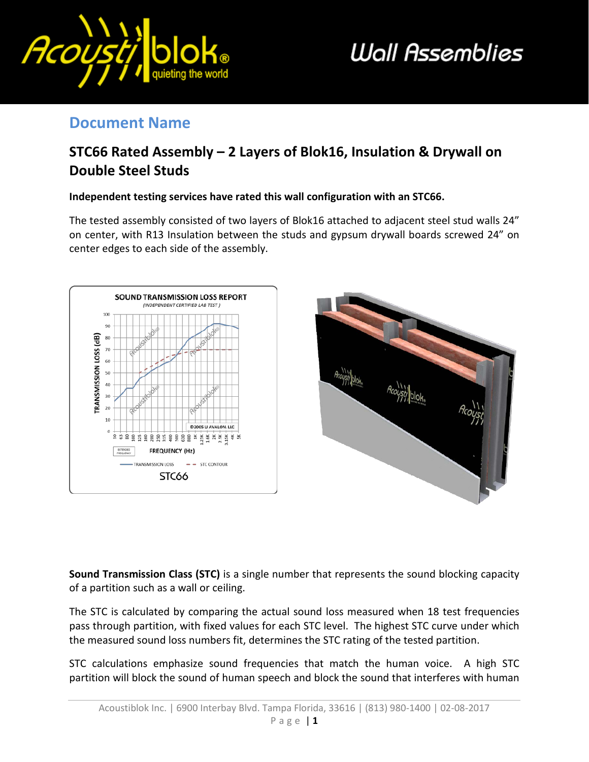

# **Wall Assemblies**

#### **Document Name**

### **STC66 Rated Assembly – 2 Layers of Blok16, Insulation & Drywall on Double Steel Studs**

#### **Independent testing services have rated this wall configuration with an STC66.**

The tested assembly consisted of two layers of Blok16 attached to adjacent steel stud walls 24" on center, with R13 Insulation between the studs and gypsum drywall boards screwed 24" on center edges to each side of the assembly.





**Sound Transmission Class (STC)** is a single number that represents the sound blocking capacity of a partition such as a wall or ceiling.

The STC is calculated by comparing the actual sound loss measured when 18 test frequencies pass through partition, with fixed values for each STC level. The highest STC curve under which the measured sound loss numbers fit, determines the STC rating of the tested partition.

STC calculations emphasize sound frequencies that match the human voice. A high STC partition will block the sound of human speech and block the sound that interferes with human